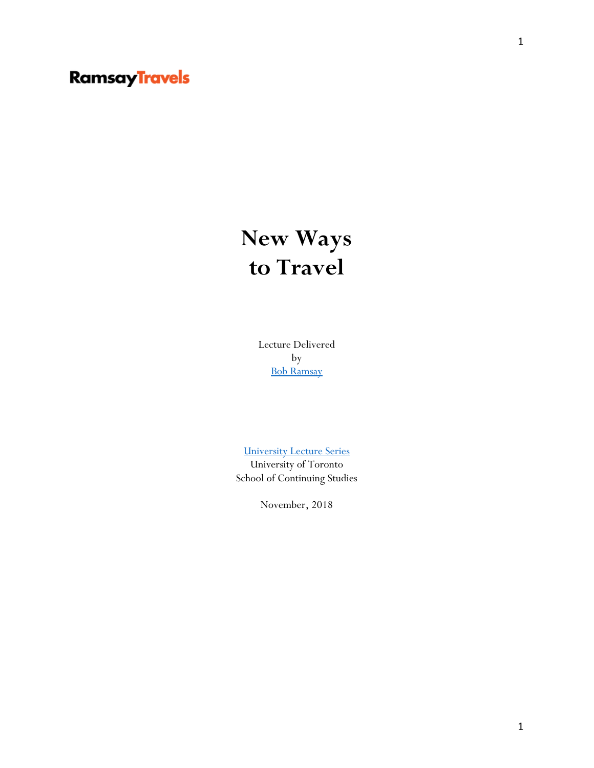## **Ramsay Travels**

## **New Ways to Travel**

Lecture Delivered by [Bob Ramsay](https://www.linkedin.com/in/bobramsay/?originalSubdomain=ca)

[University Lecture Series](https://learn.utoronto.ca/courses-programs/arts-science/courses/university-lecture-series)

University of Toronto School of Continuing Studies

November, 2018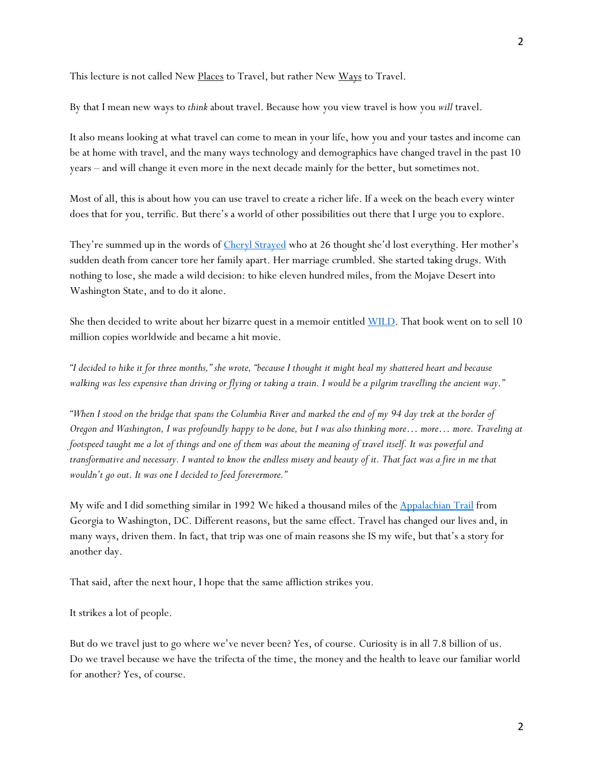This lecture is not called New Places to Travel, but rather New Ways to Travel.

By that I mean new ways to *think* about travel. Because how you view travel is how you *will* travel.

It also means looking at what travel can come to mean in your life, how you and your tastes and income can be at home with travel, and the many ways technology and demographics have changed travel in the past 10 years – and will change it even more in the next decade mainly for the better, but sometimes not.

Most of all, this is about how you can use travel to create a richer life. If a week on the beach every winter does that for you, terrific. But there's a world of other possibilities out there that I urge you to explore.

They're summed up in the words of [Cheryl Strayed](http://www.cherylstrayed.com/) who at 26 thought she'd lost everything. Her mother's sudden death from cancer tore her family apart. Her marriage crumbled. She started taking drugs. With nothing to lose, she made a wild decision: to hike eleven hundred miles, from the Mojave Desert into Washington State, and to do it alone.

She then decided to write about her bizarre quest in a memoir entitled [WILD.](http://www.cherylstrayed.com/wild_108676.htm) That book went on to sell 10 million copies worldwide and became a hit movie.

*"I decided to hike it for three months," she wrote, "because I thought it might heal my shattered heart and because walking was less expensive than driving or flying or taking a train. I would be a pilgrim travelling the ancient way."*

*"When I stood on the bridge that spans the Columbia River and marked the end of my 94 day trek at the border of Oregon and Washington, I was profoundly happy to be done, but I was also thinking more… more… more. Traveling at footspeed taught me a lot of things and one of them was about the meaning of travel itself. It was powerful and transformative and necessary. I wanted to know the endless misery and beauty of it. That fact was a fire in me that wouldn't go out. It was one I decided to feed forevermore."*

My wife and I did something similar in 1992 We hiked a thousand miles of the [Appalachian Trail](https://en.wikipedia.org/wiki/Appalachian_Trail) from Georgia to Washington, DC. Different reasons, but the same effect. Travel has changed our lives and, in many ways, driven them. In fact, that trip was one of main reasons she IS my wife, but that's a story for another day.

That said, after the next hour, I hope that the same affliction strikes you.

It strikes a lot of people.

But do we travel just to go where we've never been? Yes, of course. Curiosity is in all 7.8 billion of us. Do we travel because we have the trifecta of the time, the money and the health to leave our familiar world for another? Yes, of course.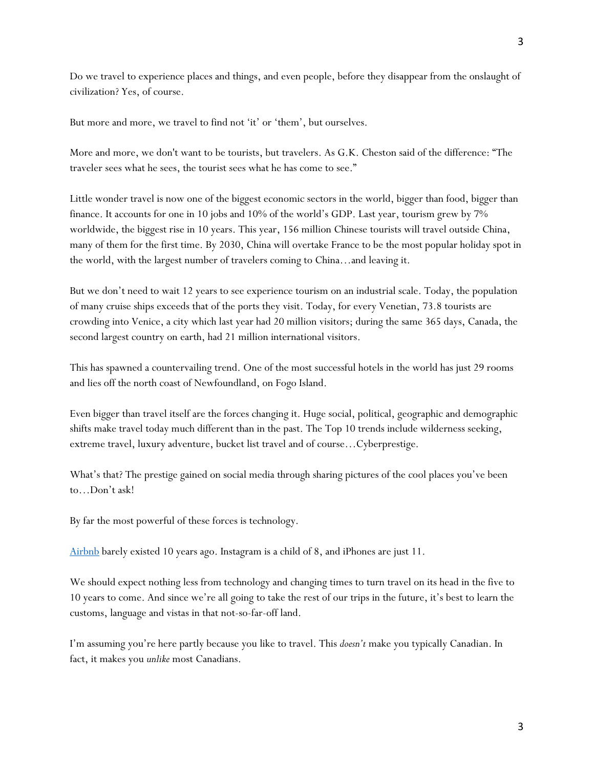Do we travel to experience places and things, and even people, before they disappear from the onslaught of civilization? Yes, of course.

But more and more, we travel to find not 'it' or 'them', but ourselves.

More and more, we don't want to be tourists, but travelers. As G.K. Cheston said of the difference: "The traveler sees what he sees, the tourist sees what he has come to see."

Little wonder travel is now one of the biggest economic sectors in the world, bigger than food, bigger than finance. It accounts for one in 10 jobs and 10% of the world's GDP. Last year, tourism grew by 7% worldwide, the biggest rise in 10 years. This year, 156 million Chinese tourists will travel outside China, many of them for the first time. By 2030, China will overtake France to be the most popular holiday spot in the world, with the largest number of travelers coming to China…and leaving it.

But we don't need to wait 12 years to see experience tourism on an industrial scale. Today, the population of many cruise ships exceeds that of the ports they visit. Today, for every Venetian, 73.8 tourists are crowding into Venice, a city which last year had 20 million visitors; during the same 365 days, Canada, the second largest country on earth, had 21 million international visitors.

This has spawned a countervailing trend. One of the most successful hotels in the world has just 29 rooms and lies off the north coast of Newfoundland, on Fogo Island.

Even bigger than travel itself are the forces changing it. Huge social, political, geographic and demographic shifts make travel today much different than in the past. The Top 10 trends include wilderness seeking, extreme travel, luxury adventure, bucket list travel and of course…Cyberprestige.

What's that? The prestige gained on social media through sharing pictures of the cool places you've been to…Don't ask!

By far the most powerful of these forces is technology.

[Airbnb](http://www.airbnb.com/) barely existed 10 years ago. Instagram is a child of 8, and iPhones are just 11.

We should expect nothing less from technology and changing times to turn travel on its head in the five to 10 years to come. And since we're all going to take the rest of our trips in the future, it's best to learn the customs, language and vistas in that not-so-far-off land.

I'm assuming you're here partly because you like to travel. This *doesn't* make you typically Canadian. In fact, it makes you *unlike* most Canadians.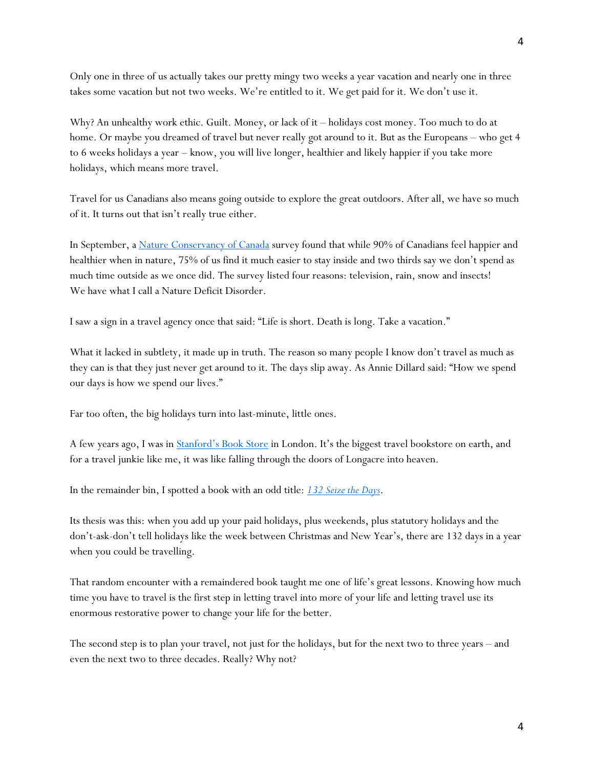Only one in three of us actually takes our pretty mingy two weeks a year vacation and nearly one in three takes some vacation but not two weeks. We're entitled to it. We get paid for it. We don't use it.

Why? An unhealthy work ethic. Guilt. Money, or lack of it – holidays cost money. Too much to do at home. Or maybe you dreamed of travel but never really got around to it. But as the Europeans – who get 4 to 6 weeks holidays a year – know, you will live longer, healthier and likely happier if you take more holidays, which means more travel.

Travel for us Canadians also means going outside to explore the great outdoors. After all, we have so much of it. It turns out that isn't really true either.

In September, a [Nature Conservancy of Canada](http://www.natureconservancy.ca/en/) survey found that while 90% of Canadians feel happier and healthier when in nature, 75% of us find it much easier to stay inside and two thirds say we don't spend as much time outside as we once did. The survey listed four reasons: television, rain, snow and insects! We have what I call a Nature Deficit Disorder.

I saw a sign in a travel agency once that said: "Life is short. Death is long. Take a vacation."

What it lacked in subtlety, it made up in truth. The reason so many people I know don't travel as much as they can is that they just never get around to it. The days slip away. As Annie Dillard said: "How we spend our days is how we spend our lives."

Far too often, the big holidays turn into last-minute, little ones.

A few years ago, I was in [Stanford's Book Store](http://www.stanfords.co.uk/london-store) in London. It's the biggest travel bookstore on earth, and for a travel junkie like me, it was like falling through the doors of Longacre into heaven.

In the remainder bin, I spotted a book with an odd title: *[132 Seize the Days](https://www.goodreads.com/book/show/1075688.132_Seize_the_Days)*.

Its thesis was this: when you add up your paid holidays, plus weekends, plus statutory holidays and the don't-ask-don't tell holidays like the week between Christmas and New Year's, there are 132 days in a year when you could be travelling.

That random encounter with a remaindered book taught me one of life's great lessons. Knowing how much time you have to travel is the first step in letting travel into more of your life and letting travel use its enormous restorative power to change your life for the better.

The second step is to plan your travel, not just for the holidays, but for the next two to three years – and even the next two to three decades. Really? Why not?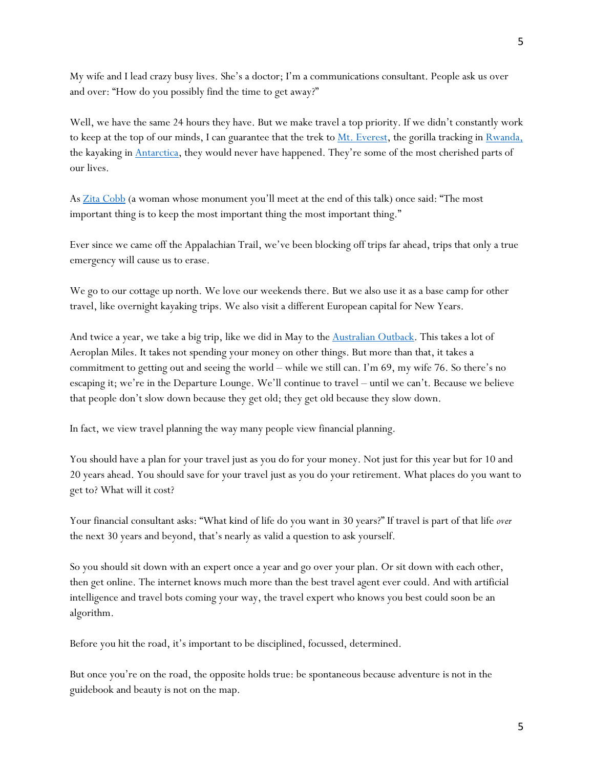My wife and I lead crazy busy lives. She's a doctor; I'm a communications consultant. People ask us over and over: "How do you possibly find the time to get away?"

Well, we have the same 24 hours they have. But we make travel a top priority. If we didn't constantly work to keep at the top of our minds, I can guarantee that the trek to [Mt. Everest,](https://www.tourradar.com/vi/mountain-everest-hiking-trekking?gclid=EAIaIQobChMI6bis8uDv3gIVhEGGCh1TDQ1DEAAYASAAEgJXx_D_BwE&gclsrc=aw.ds) the gorilla tracking in [Rwanda,](https://www.micato.com/africa-option-and-extension/tracking-majestic-mountain-gorillas/) the kayaking in [Antarctica,](https://www.expeditions.com/destinations/polar-regions/antarctica/the-experience/) they would never have happened. They're some of the most cherished parts of our lives.

As [Zita Cobb](https://www.nationalgeographiclodges.com/lodges/north-america/fogo-island-inn/explore-more/meet-the-owner/) (a woman whose monument you'll meet at the end of this talk) once said: "The most important thing is to keep the most important thing the most important thing."

Ever since we came off the Appalachian Trail, we've been blocking off trips far ahead, trips that only a true emergency will cause us to erase.

We go to our cottage up north. We love our weekends there. But we also use it as a base camp for other travel, like overnight kayaking trips. We also visit a different European capital for New Years.

And twice a year, we take a big trip, like we did in May to the **Australian Outback**. This takes a lot of Aeroplan Miles. It takes not spending your money on other things. But more than that, it takes a commitment to getting out and seeing the world – while we still can. I'm 69, my wife 76. So there's no escaping it; we're in the Departure Lounge. We'll continue to travel – until we can't. Because we believe that people don't slow down because they get old; they get old because they slow down.

In fact, we view travel planning the way many people view financial planning.

You should have a plan for your travel just as you do for your money. Not just for this year but for 10 and 20 years ahead. You should save for your travel just as you do your retirement. What places do you want to get to? What will it cost?

Your financial consultant asks: "What kind of life do you want in 30 years?" If travel is part of that life *over* the next 30 years and beyond, that's nearly as valid a question to ask yourself.

So you should sit down with an expert once a year and go over your plan. Or sit down with each other, then get online. The internet knows much more than the best travel agent ever could. And with artificial intelligence and travel bots coming your way, the travel expert who knows you best could soon be an algorithm.

Before you hit the road, it's important to be disciplined, focussed, determined.

But once you're on the road, the opposite holds true: be spontaneous because adventure is not in the guidebook and beauty is not on the map.

5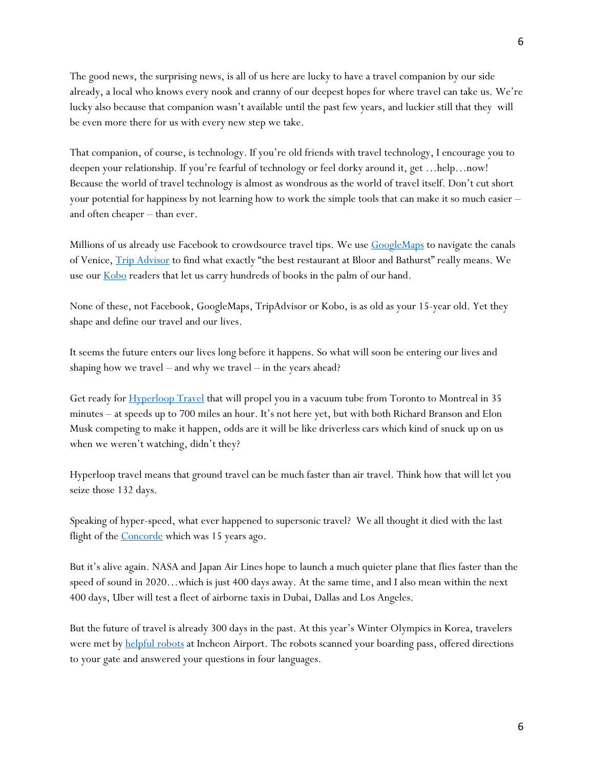The good news, the surprising news, is all of us here are lucky to have a travel companion by our side already, a local who knows every nook and cranny of our deepest hopes for where travel can take us. We're lucky also because that companion wasn't available until the past few years, and luckier still that they will be even more there for us with every new step we take.

That companion, of course, is technology. If you're old friends with travel technology, I encourage you to deepen your relationship. If you're fearful of technology or feel dorky around it, get …help…now! Because the world of travel technology is almost as wondrous as the world of travel itself. Don't cut short your potential for happiness by not learning how to work the simple tools that can make it so much easier – and often cheaper – than ever.

Millions of us already use Facebook to crowdsource travel tips. We use **GoogleMaps** to navigate the canals of Venice, [Trip Advisor](https://www.tripadvisor.ca/) to find what exactly "the best restaurant at Bloor and Bathurst" really means. We use our **Kobo** readers that let us carry hundreds of books in the palm of our hand.

None of these, not Facebook, GoogleMaps, TripAdvisor or Kobo, is as old as your 15-year old. Yet they shape and define our travel and our lives.

It seems the future enters our lives long before it happens. So what will soon be entering our lives and shaping how we travel – and why we travel – in the years ahead?

Get ready for **Hyperloop Travel** that will propel you in a vacuum tube from Toronto to Montreal in 35 minutes – at speeds up to 700 miles an hour. It's not here yet, but with both Richard Branson and Elon Musk competing to make it happen, odds are it will be like driverless cars which kind of snuck up on us when we weren't watching, didn't they?

Hyperloop travel means that ground travel can be much faster than air travel. Think how that will let you seize those 132 days.

Speaking of hyper-speed, what ever happened to supersonic travel? We all thought it died with the last flight of the **Concorde** which was 15 years ago.

But it's alive again. NASA and Japan Air Lines hope to launch a much quieter plane that flies faster than the speed of sound in 2020…which is just 400 days away. At the same time, and I also mean within the next 400 days, Uber will test a fleet of airborne taxis in Dubai, Dallas and Los Angeles.

But the future of travel is already 300 days in the past. At this year's Winter Olympics in Korea, travelers were met by [helpful robots](https://www.youtube.com/watch?v=_RcTBw_7NK0) at Incheon Airport. The robots scanned your boarding pass, offered directions to your gate and answered your questions in four languages.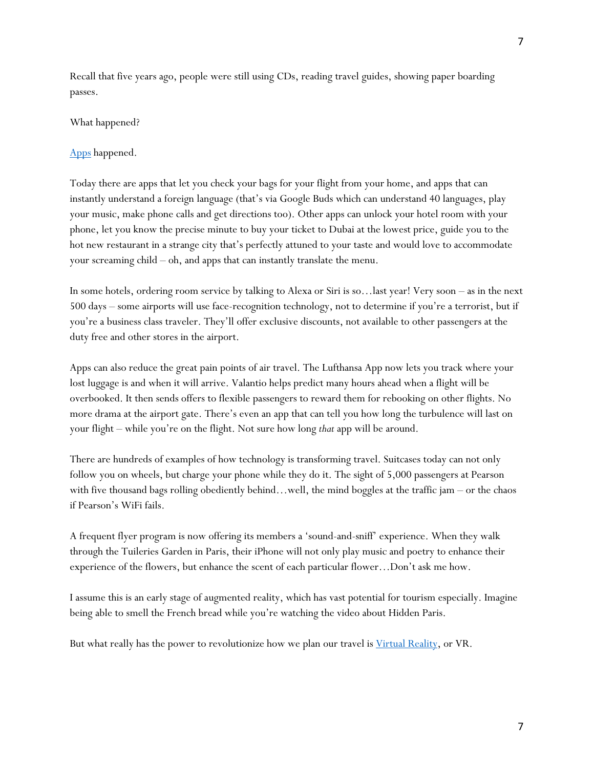Recall that five years ago, people were still using CDs, reading travel guides, showing paper boarding passes.

## What happened?

## [Apps](https://www.digitaltrends.com/mobile/best-travel-apps/) happened.

Today there are apps that let you check your bags for your flight from your home, and apps that can instantly understand a foreign language (that's via Google Buds which can understand 40 languages, play your music, make phone calls and get directions too). Other apps can unlock your hotel room with your phone, let you know the precise minute to buy your ticket to Dubai at the lowest price, guide you to the hot new restaurant in a strange city that's perfectly attuned to your taste and would love to accommodate your screaming child – oh, and apps that can instantly translate the menu.

In some hotels, ordering room service by talking to Alexa or Siri is so…last year! Very soon – as in the next 500 days – some airports will use face-recognition technology, not to determine if you're a terrorist, but if you're a business class traveler. They'll offer exclusive discounts, not available to other passengers at the duty free and other stores in the airport.

Apps can also reduce the great pain points of air travel. The Lufthansa App now lets you track where your lost luggage is and when it will arrive. Valantio helps predict many hours ahead when a flight will be overbooked. It then sends offers to flexible passengers to reward them for rebooking on other flights. No more drama at the airport gate. There's even an app that can tell you how long the turbulence will last on your flight – while you're on the flight. Not sure how long *that* app will be around.

There are hundreds of examples of how technology is transforming travel. Suitcases today can not only follow you on wheels, but charge your phone while they do it. The sight of 5,000 passengers at Pearson with five thousand bags rolling obediently behind…well, the mind boggles at the traffic jam – or the chaos if Pearson's WiFi fails.

A frequent flyer program is now offering its members a 'sound-and-sniff' experience. When they walk through the Tuileries Garden in Paris, their iPhone will not only play music and poetry to enhance their experience of the flowers, but enhance the scent of each particular flower…Don't ask me how.

I assume this is an early stage of augmented reality, which has vast potential for tourism especially. Imagine being able to smell the French bread while you're watching the video about Hidden Paris.

But what really has the power to revolutionize how we plan our travel is [Virtual Reality,](https://en.wikipedia.org/wiki/Virtual_reality) or VR.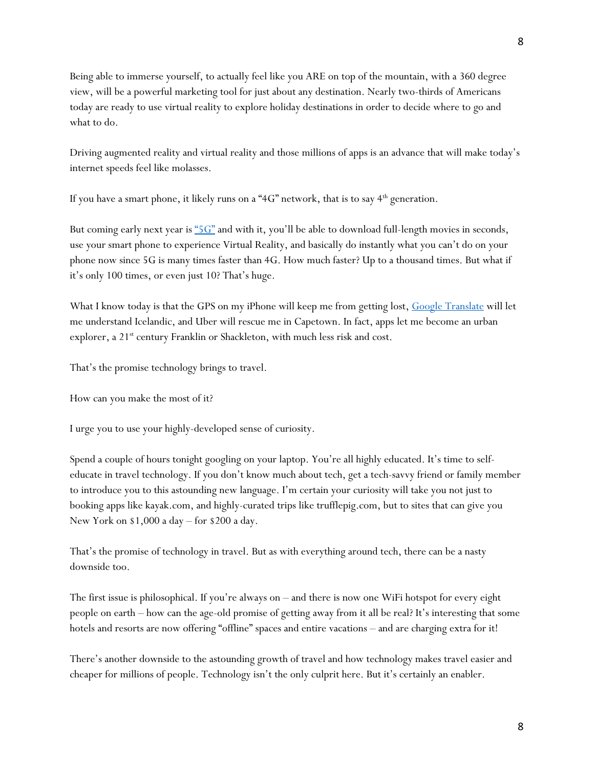Being able to immerse yourself, to actually feel like you ARE on top of the mountain, with a 360 degree view, will be a powerful marketing tool for just about any destination. Nearly two-thirds of Americans today are ready to use virtual reality to explore holiday destinations in order to decide where to go and

Driving augmented reality and virtual reality and those millions of apps is an advance that will make today's internet speeds feel like molasses.

If you have a smart phone, it likely runs on a "4G" network, that is to say  $4<sup>th</sup>$  generation.

But coming early next year is " $5\text{G}$ " and with it, you'll be able to download full-length movies in seconds, use your smart phone to experience Virtual Reality, and basically do instantly what you can't do on your phone now since 5G is many times faster than 4G. How much faster? Up to a thousand times. But what if it's only 100 times, or even just 10? That's huge.

What I know today is that the GPS on my iPhone will keep me from getting lost, [Google Translate](https://translate.google.ca/) will let me understand Icelandic, and Uber will rescue me in Capetown. In fact, apps let me become an urban explorer, a 21<sup>st</sup> century Franklin or Shackleton, with much less risk and cost.

That's the promise technology brings to travel.

How can you make the most of it?

what to do.

I urge you to use your highly-developed sense of curiosity.

Spend a couple of hours tonight googling on your laptop. You're all highly educated. It's time to selfeducate in travel technology. If you don't know much about tech, get a tech-savvy friend or family member to introduce you to this astounding new language. I'm certain your curiosity will take you not just to booking apps like kayak.com, and highly-curated trips like trufflepig.com, but to sites that can give you New York on \$1,000 a day – for \$200 a day.

That's the promise of technology in travel. But as with everything around tech, there can be a nasty downside too.

The first issue is philosophical. If you're always on – and there is now one WiFi hotspot for every eight people on earth – how can the age-old promise of getting away from it all be real? It's interesting that some hotels and resorts are now offering "offline" spaces and entire vacations – and are charging extra for it!

There's another downside to the astounding growth of travel and how technology makes travel easier and cheaper for millions of people. Technology isn't the only culprit here. But it's certainly an enabler.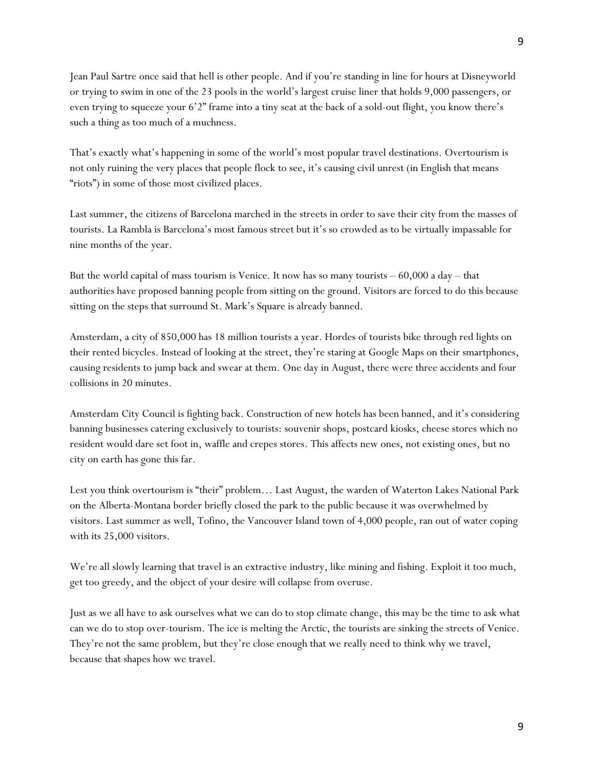Jean Paul Sartre once said that hell is other people. And if you're standing in line for hours at Disneyworld or trying to swim in one of the 23 pools in the world's largest cruise liner that holds 9,000 passengers, or even trying to squeeze your 6'2" frame into a tiny seat at the back of a sold-out flight, you know there's such a thing as too much of a muchness.

That's exactly what's happening in some of the world's most popular travel destinations. Overtourism is not only ruining the very places that people flock to see, it's causing civil unrest (in English that means "riots") in some of those most civilized places.

Last summer, the citizens of Barcelona marched in the streets in order to save their city from the masses of tourists. La Rambla is Barcelona's most famous street but it's so crowded as to be virtually impassable for nine months of the year.

But the world capital of mass tourism is Venice. It now has so many tourists  $-60,000$  a day  $-$  that authorities have proposed banning people from sitting on the ground. Visitors are forced to do this because sitting on the steps that surround St. Mark's Square is already banned.

Amsterdam, a city of 850,000 has 18 million tourists a year. Hordes of tourists bike through red lights on their rented bicycles. Instead of looking at the street, they're staring at Google Maps on their smartphones, causing residents to jump back and swear at them. One day in August, there were three accidents and four collisions in 20 minutes.

Amsterdam City Council is fighting back. Construction of new hotels has been banned, and it's considering banning businesses catering exclusively to tourists: souvenir shops, postcard kiosks, cheese stores which no resident would dare set foot in, waffle and crepes stores. This affects new ones, not existing ones, but no city on earth has gone this far.

Lest you think overtourism is "their" problem… Last August, the warden of Waterton Lakes National Park on the Alberta-Montana border briefly closed the park to the public because it was overwhelmed by visitors. Last summer as well, Tofino, the Vancouver Island town of 4,000 people, ran out of water coping with its 25,000 visitors.

We're all slowly learning that travel is an extractive industry, like mining and fishing. Exploit it too much, get too greedy, and the object of your desire will collapse from overuse.

Just as we all have to ask ourselves what we can do to stop climate change, this may be the time to ask what can we do to stop over-tourism. The ice is melting the Arctic, the tourists are sinking the streets of Venice. They're not the same problem, but they're close enough that we really need to think why we travel, because that shapes how we travel.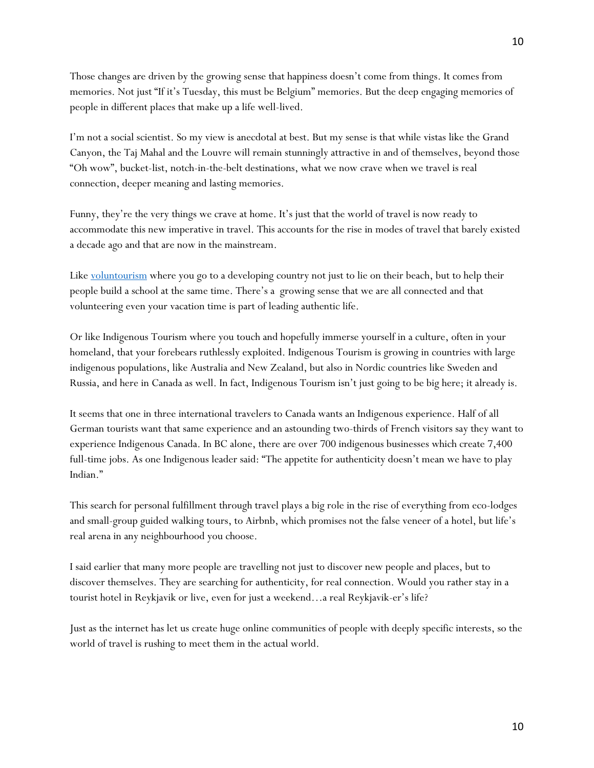Those changes are driven by the growing sense that happiness doesn't come from things. It comes from memories. Not just "If it's Tuesday, this must be Belgium" memories. But the deep engaging memories of people in different places that make up a life well-lived.

I'm not a social scientist. So my view is anecdotal at best. But my sense is that while vistas like the Grand Canyon, the Taj Mahal and the Louvre will remain stunningly attractive in and of themselves, beyond those "Oh wow", bucket-list, notch-in-the-belt destinations, what we now crave when we travel is real connection, deeper meaning and lasting memories.

Funny, they're the very things we crave at home. It's just that the world of travel is now ready to accommodate this new imperative in travel. This accounts for the rise in modes of travel that barely existed a decade ago and that are now in the mainstream.

Like [voluntourism](https://www.projects-abroad.ca/volunteer-projects/volunteer-abroad/?gclid=EAIaIQobChMI-qi1-uTv3gIVxkCGCh0V6gVMEAAYASAAEgJwVfD_BwE) where you go to a developing country not just to lie on their beach, but to help their people build a school at the same time. There's a growing sense that we are all connected and that volunteering even your vacation time is part of leading authentic life.

Or like Indigenous Tourism where you touch and hopefully immerse yourself in a culture, often in your homeland, that your forebears ruthlessly exploited. Indigenous Tourism is growing in countries with large indigenous populations, like Australia and New Zealand, but also in Nordic countries like Sweden and Russia, and here in Canada as well. In fact, Indigenous Tourism isn't just going to be big here; it already is.

It seems that one in three international travelers to Canada wants an Indigenous experience. Half of all German tourists want that same experience and an astounding two-thirds of French visitors say they want to experience Indigenous Canada. In BC alone, there are over 700 indigenous businesses which create 7,400 full-time jobs. As one Indigenous leader said: "The appetite for authenticity doesn't mean we have to play Indian."

This search for personal fulfillment through travel plays a big role in the rise of everything from eco-lodges and small-group guided walking tours, to Airbnb, which promises not the false veneer of a hotel, but life's real arena in any neighbourhood you choose.

I said earlier that many more people are travelling not just to discover new people and places, but to discover themselves. They are searching for authenticity, for real connection. Would you rather stay in a tourist hotel in Reykjavik or live, even for just a weekend…a real Reykjavik-er's life?

Just as the internet has let us create huge online communities of people with deeply specific interests, so the world of travel is rushing to meet them in the actual world.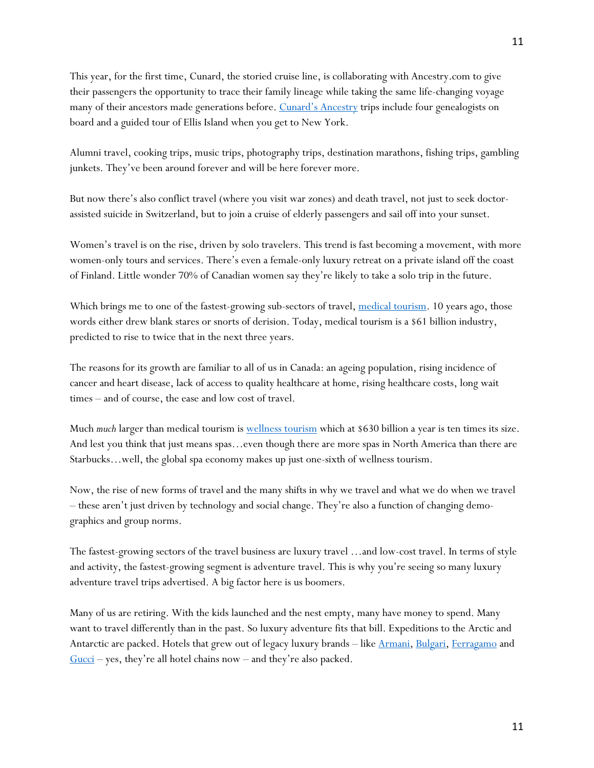This year, for the first time, Cunard, the storied cruise line, is collaborating with Ancestry.com to give their passengers the opportunity to trace their family lineage while taking the same life-changing voyage many of their ancestors made generations before. [Cunard's Ancestry](https://www.cunard.com/cunard-experience/media-centre/press-releases/cunard-and-ancestry/) trips include four genealogists on board and a guided tour of Ellis Island when you get to New York.

Alumni travel, cooking trips, music trips, photography trips, destination marathons, fishing trips, gambling junkets. They've been around forever and will be here forever more.

But now there's also conflict travel (where you visit war zones) and death travel, not just to seek doctorassisted suicide in Switzerland, but to join a cruise of elderly passengers and sail off into your sunset.

Women's travel is on the rise, driven by solo travelers. This trend is fast becoming a movement, with more women-only tours and services. There's even a female-only luxury retreat on a private island off the coast of Finland. Little wonder 70% of Canadian women say they're likely to take a solo trip in the future.

Which brings me to one of the fastest-growing sub-sectors of travel, [medical tourism.](https://medicaltourism.com/) 10 years ago, those words either drew blank stares or snorts of derision. Today, medical tourism is a \$61 billion industry, predicted to rise to twice that in the next three years.

The reasons for its growth are familiar to all of us in Canada: an ageing population, rising incidence of cancer and heart disease, lack of access to quality healthcare at home, rising healthcare costs, long wait times – and of course, the ease and low cost of travel.

Much *much* larger than medical tourism is [wellness tourism](https://globalwellnessinstitute.org/industry-research/2018-global-wellness-economy-monitor/) which at \$630 billion a year is ten times its size. And lest you think that just means spas…even though there are more spas in North America than there are Starbucks…well, the global spa economy makes up just one-sixth of wellness tourism.

Now, the rise of new forms of travel and the many shifts in why we travel and what we do when we travel – these aren't just driven by technology and social change. They're also a function of changing demographics and group norms.

The fastest-growing sectors of the travel business are luxury travel …and low-cost travel. In terms of style and activity, the fastest-growing segment is adventure travel. This is why you're seeing so many luxury adventure travel trips advertised. A big factor here is us boomers.

Many of us are retiring. With the kids launched and the nest empty, many have money to spend. Many want to travel differently than in the past. So luxury adventure fits that bill. Expeditions to the Arctic and Antarctic are packed. Hotels that grew out of legacy luxury brands – like [Armani,](http://www.armanihotels.com/en/index.html) [Bulgari,](https://www.bulgarihotels.com/en_US/) [Ferragamo](https://luxuryrogue.travellerspoint.com/52/) and [Gucci](http://www.luxuo.com/properties/hotel/elisabetta-gucci-hotels-resorts.html) – yes, they're all hotel chains now – and they're also packed.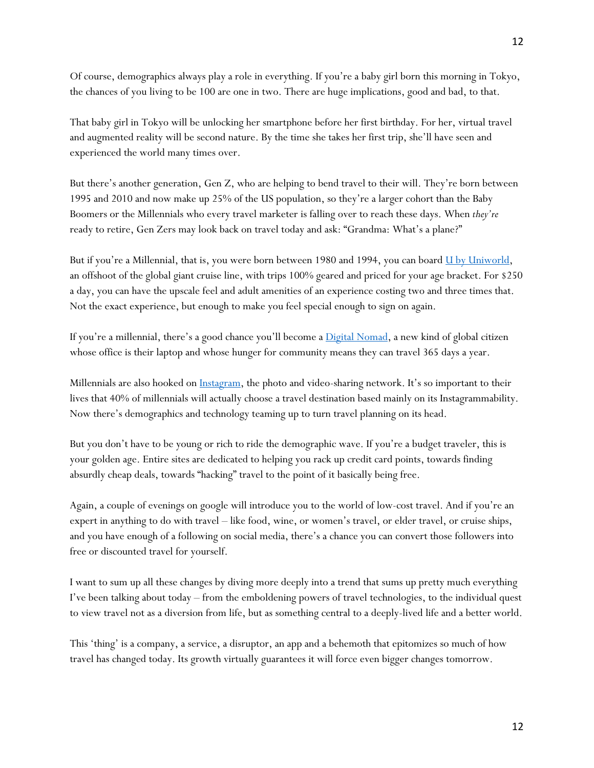Of course, demographics always play a role in everything. If you're a baby girl born this morning in Tokyo, the chances of you living to be 100 are one in two. There are huge implications, good and bad, to that.

That baby girl in Tokyo will be unlocking her smartphone before her first birthday. For her, virtual travel and augmented reality will be second nature. By the time she takes her first trip, she'll have seen and experienced the world many times over.

But there's another generation, Gen Z, who are helping to bend travel to their will. They're born between 1995 and 2010 and now make up 25% of the US population, so they're a larger cohort than the Baby Boomers or the Millennials who every travel marketer is falling over to reach these days. When *they're* ready to retire, Gen Zers may look back on travel today and ask: "Grandma: What's a plane?"

But if you're a Millennial, that is, you were born between 1980 and 1994, you can board  $\underline{U}$  by  $\underline{Uniworld}$ , an offshoot of the global giant cruise line, with trips 100% geared and priced for your age bracket. For \$250 a day, you can have the upscale feel and adult amenities of an experience costing two and three times that. Not the exact experience, but enough to make you feel special enough to sign on again.

If you're a millennial, there's a good chance you'll become a [Digital Nomad,](https://findyourpack.org/?gclid=EAIaIQobChMIsO-rgOzv3gIVTrnACh3k9QtwEAAYAiAAEgJXFPD_BwE) a new kind of global citizen whose office is their laptop and whose hunger for community means they can travel 365 days a year.

Millennials are also hooked on *Instagram*, the photo and video-sharing network. It's so important to their lives that 40% of millennials will actually choose a travel destination based mainly on its Instagrammability. Now there's demographics and technology teaming up to turn travel planning on its head.

But you don't have to be young or rich to ride the demographic wave. If you're a budget traveler, this is your golden age. Entire sites are dedicated to helping you rack up credit card points, towards finding absurdly cheap deals, towards "hacking" travel to the point of it basically being free.

Again, a couple of evenings on google will introduce you to the world of low-cost travel. And if you're an expert in anything to do with travel – like food, wine, or women's travel, or elder travel, or cruise ships, and you have enough of a following on social media, there's a chance you can convert those followers into free or discounted travel for yourself.

I want to sum up all these changes by diving more deeply into a trend that sums up pretty much everything I've been talking about today – from the emboldening powers of travel technologies, to the individual quest to view travel not as a diversion from life, but as something central to a deeply-lived life and a better world.

This 'thing' is a company, a service, a disruptor, an app and a behemoth that epitomizes so much of how travel has changed today. Its growth virtually guarantees it will force even bigger changes tomorrow.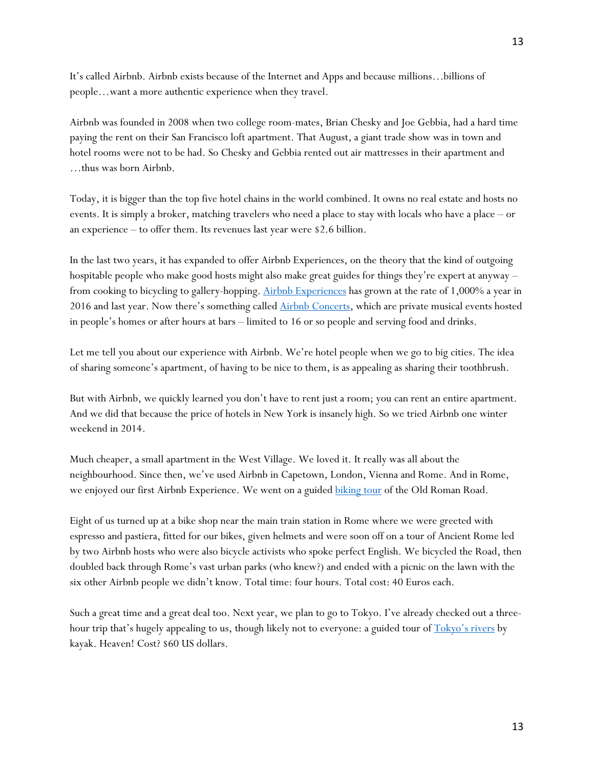It's called Airbnb. Airbnb exists because of the Internet and Apps and because millions…billions of people…want a more authentic experience when they travel.

Airbnb was founded in 2008 when two college room-mates, Brian Chesky and Joe Gebbia, had a hard time paying the rent on their San Francisco loft apartment. That August, a giant trade show was in town and hotel rooms were not to be had. So Chesky and Gebbia rented out air mattresses in their apartment and …thus was born Airbnb.

Today, it is bigger than the top five hotel chains in the world combined. It owns no real estate and hosts no events. It is simply a broker, matching travelers who need a place to stay with locals who have a place – or an experience – to offer them. Its revenues last year were \$2.6 billion.

In the last two years, it has expanded to offer Airbnb Experiences, on the theory that the kind of outgoing hospitable people who make good hosts might also make great guides for things they're expert at anyway – from cooking to bicycling to gallery-hopping. [Airbnb Experiences](https://www.airbnb.ca/s/experiences?af=&c=.pi0.pk56776472805_289333030269_c_303480525523&gclid=EAIaIQobChMI5oC8qezv3gIVm7rACh0fsQgcEAAYASAAEgLTavD_BwE&locale=en&refinement_paths%5B%5D=%2Fexperiences) has grown at the rate of 1,000% a year in 2016 and last year. Now there's something called [Airbnb Concerts,](https://www.airbnb.ca/s/experiences?af=&c=.pi0.pk58235763359_294364467753_c_518083325243&gclid=EAIaIQobChMIu7WgvOzv3gIVhbjACh3PLgYbEAAYASAAEgIDr_D_BwE&locale=en&refinement_paths%5B%5D=%2Fexperiences%2FConcept%2FRefinement%2FConcerts) which are private musical events hosted in people's homes or after hours at bars – limited to 16 or so people and serving food and drinks.

Let me tell you about our experience with Airbnb. We're hotel people when we go to big cities. The idea of sharing someone's apartment, of having to be nice to them, is as appealing as sharing their toothbrush.

But with Airbnb, we quickly learned you don't have to rent just a room; you can rent an entire apartment. And we did that because the price of hotels in New York is insanely high. So we tried Airbnb one winter weekend in 2014.

Much cheaper, a small apartment in the West Village. We loved it. It really was all about the neighbourhood. Since then, we've used Airbnb in Capetown, London, Vienna and Rome. And in Rome, we enjoyed our first Airbnb Experience. We went on a guided **biking tour** of the Old Roman Road.

Eight of us turned up at a bike shop near the main train station in Rome where we were greeted with espresso and pastiera, fitted for our bikes, given helmets and were soon off on a tour of Ancient Rome led by two Airbnb hosts who were also bicycle activists who spoke perfect English. We bicycled the Road, then doubled back through Rome's vast urban parks (who knew?) and ended with a picnic on the lawn with the six other Airbnb people we didn't know. Total time: four hours. Total cost: 40 Euros each.

Such a great time and a great deal too. Next year, we plan to go to Tokyo. I've already checked out a threehour trip that's hugely appealing to us, though likely not to everyone: a guided tour of  $Tokyo's rivers$  by kayak. Heaven! Cost? \$60 US dollars.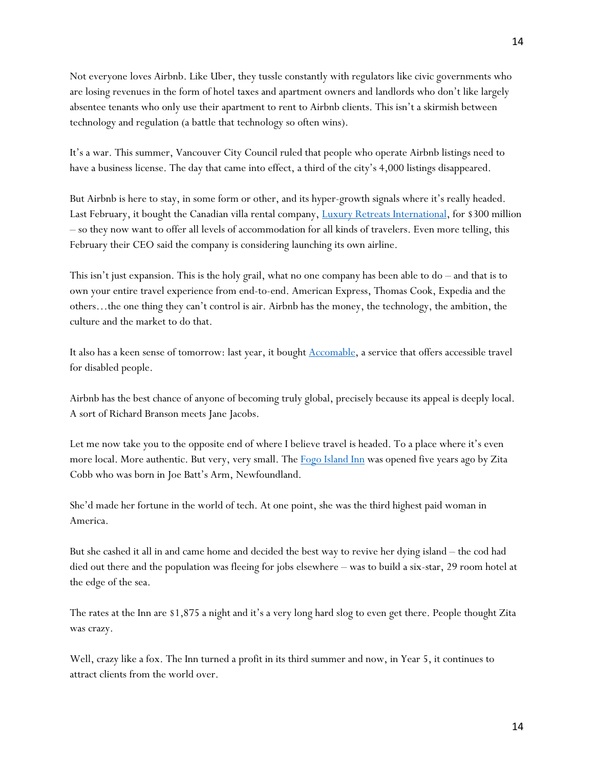Not everyone loves Airbnb. Like Uber, they tussle constantly with regulators like civic governments who are losing revenues in the form of hotel taxes and apartment owners and landlords who don't like largely absentee tenants who only use their apartment to rent to Airbnb clients. This isn't a skirmish between technology and regulation (a battle that technology so often wins).

It's a war. This summer, Vancouver City Council ruled that people who operate Airbnb listings need to have a business license. The day that came into effect, a third of the city's 4,000 listings disappeared.

But Airbnb is here to stay, in some form or other, and its hyper-growth signals where it's really headed. Last February, it bought the Canadian villa rental company, [Luxury Retreats International,](https://www.luxuryretreats.com/?src=paid_ggna_brand_brand&gclid=EAIaIQobChMIvMusze3v3gIV27rACh0hPAhXEAAYASAAEgKccPD_BwE) for \$300 million – so they now want to offer all levels of accommodation for all kinds of travelers. Even more telling, this February their CEO said the company is considering launching its own airline.

This isn't just expansion. This is the holy grail, what no one company has been able to do – and that is to own your entire travel experience from end-to-end. American Express, Thomas Cook, Expedia and the others…the one thing they can't control is air. Airbnb has the money, the technology, the ambition, the culture and the market to do that.

It also has a keen sense of tomorrow: last year, it bought [Accomable,](https://www.reuters.com/article/us-airbnb-acquisition/airbnb-acquires-accomable-to-offer-home-rentals-for-disabled-travelers-idUSKBN1DG2H5) a service that offers accessible travel for disabled people.

Airbnb has the best chance of anyone of becoming truly global, precisely because its appeal is deeply local. A sort of Richard Branson meets Jane Jacobs.

Let me now take you to the opposite end of where I believe travel is headed. To a place where it's even more local. More authentic. But very, very small. The [Fogo Island Inn](https://www.fogoislandinn.ca/) was opened five years ago by Zita Cobb who was born in Joe Batt's Arm, Newfoundland.

She'd made her fortune in the world of tech. At one point, she was the third highest paid woman in America.

But she cashed it all in and came home and decided the best way to revive her dying island – the cod had died out there and the population was fleeing for jobs elsewhere – was to build a six-star, 29 room hotel at the edge of the sea.

The rates at the Inn are \$1,875 a night and it's a very long hard slog to even get there. People thought Zita was crazy.

Well, crazy like a fox. The Inn turned a profit in its third summer and now, in Year 5, it continues to attract clients from the world over.